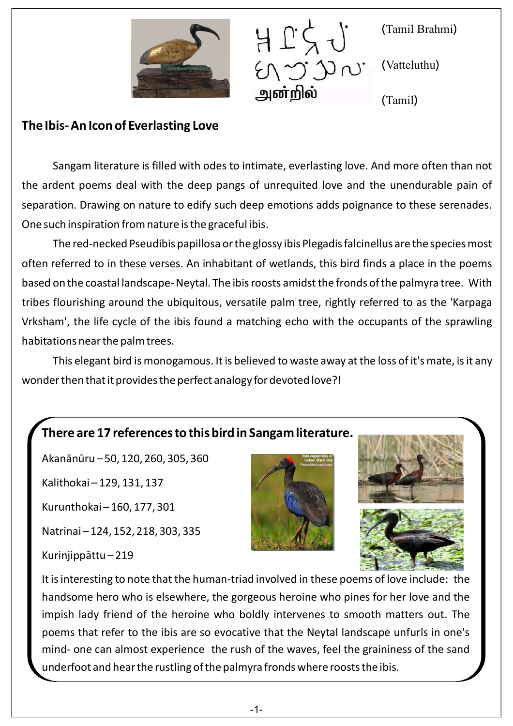



( ) Tamil Brahmi

(Vatteluthu)

( ) Tamil

## **The Ibis- An Icon of Everlasting Love**

Sangam literature is filled with odes to intimate, everlasting love. And more often than not the ardent poems deal with the deep pangs of unrequited love and the unendurable pain of separation. Drawing on nature to edify such deep emotions adds poignance to these serenades. One such inspiration from nature is the graceful ibis.

The red-necked Pseudibis papillosa or the glossy ibis Plegadis falcinellus are the species most often referred to in these verses. An inhabitant of wetlands, this bird finds a place in the poems based on the coastal landscape- Neytal. The ibis roosts amidst the fronds of the palmyra tree. With tribes flourishing around the ubiquitous, versatile palm tree, rightly referred to as the 'Karpaga Vrksham', the life cycle of the ibis found a matching echo with the occupants of the sprawling habitations near the palm trees.

This elegant bird is monogamous. It is believed to waste away at the loss of it's mate, is it any wonder then that it provides the perfect analogy for devoted love?!

## **There are 17 references to this bird in Sangam literature.**

Akanānūru – 50, 120, 260, 305, 360

Kalithokai – 129, 131, 137

Kurunthokai – 160, 177, 301

Natrinai – 124, 152, 218, 303, 335

Kurinjippāttu – 219





It is interesting to note that the human-triad involved in these poems of love include: the handsome hero who is elsewhere, the gorgeous heroine who pines for her love and the impish lady friend of the heroine who boldly intervenes to smooth matters out. The poems that refer to the ibis are so evocative that the Neytal landscape unfurls in one's mind- one can almost experience the rush of the waves, feel the graininess of the sand underfoot and hear the rustling of the palmyra fronds where roosts the ibis.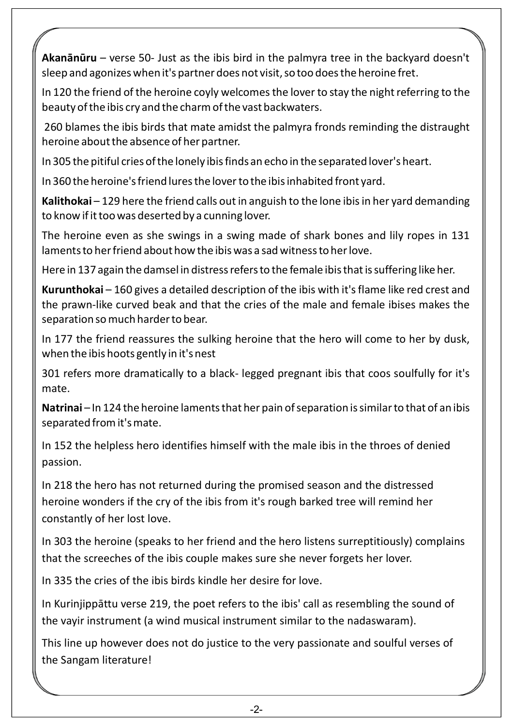Akanānūru – verse 50- Just as the ibis bird in the palmyra tree in the backyard doesn't sleep and agonizes when it's partner does not visit, so too does the heroine fret.

In 120 the friend of the heroine coyly welcomes the lover to stay the night referring to the beauty of the ibis cry and the charm of the vast backwaters.

 260 blames the ibis birds that mate amidst the palmyra fronds reminding the distraught heroine about the absence of her partner.

In 305 the pitiful cries of the lonely ibis finds an echo in the separated lover's heart.

In 360 the heroine's friend lures the lover to the ibis inhabited front yard.

Kalithokai – 129 here the friend calls out in anguish to the lone ibis in her yard demanding to know if it too was deserted by a cunning lover.

The heroine even as she swings in a swing made of shark bones and lily ropes in 131 laments to her friend about how the ibis was a sad witness to her love.

Here in 137 again the damsel in distress refers to the female ibis that is suffering like her.

**Kurunthokai**  – 160 gives a detailed description of the ibis with it's flame like red crest and the prawn-like curved beak and that the cries of the male and female ibises makes the separation so much harder to bear.

In 177 the friend reassures the sulking heroine that the hero will come to her by dusk, when the ibis hoots gently in it's nest

301 refers more dramatically to a black- legged pregnant ibis that coos soulfully for it's mate.

Natrinai – In 124 the heroine laments that her pain of separation is similar to that of an ibis separated from it's mate.

In 152 the helpless hero identifies himself with the male ibis in the throes of denied passion.

In 218 the hero has not returned during the promised season and the distressed heroine wonders if the cry of the ibis from it's rough barked tree will remind her constantly of her lost love.

In 303 the heroine (speaks to her friend and the hero listens surreptitiously) complains that the screeches of the ibis couple makes sure she never forgets her lover.

In 335 the cries of the ibis birds kindle her desire for love.

In Kurinjippāttu verse 219, the poet refers to the ibis' call as resembling the sound of the vayir instrument (a wind musical instrument similar to the nadaswaram).

This line up however does not do justice to the very passionate and soulful verses of the Sangam literature!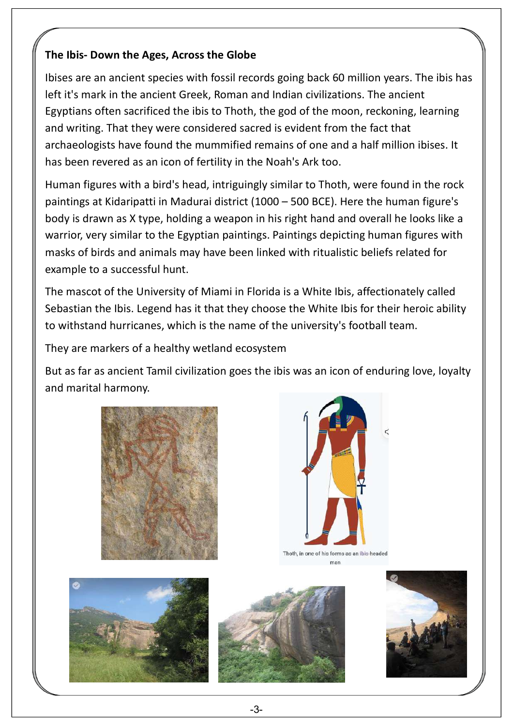## **The Ibis- Down the Ages, Across the Globe**

Ibises are an ancient species with fossil records going back 60 million years. The ibis has left it's mark in the ancient Greek, Roman and Indian civilizations. The ancient Egyptians often sacrificed the ibis to Thoth, the god of the moon, reckoning, learning and writing. That they were considered sacred is evident from the fact that archaeologists have found the mummified remains of one and a half million ibises. It has been revered as an icon of fertility in the Noah's Ark too.

Human figures with a bird's head, intriguingly similar to Thoth, were found in the rock paintings at Kidaripatti in Madurai district (1000 – 500 BCE). Here the human figure's body is drawn as X type, holding a weapon in his right hand and overall he looks like a warrior, very similar to the Egyptian paintings. Paintings depicting human figures with masks of birds and animals may have been linked with ritualistic beliefs related for example to a successful hunt.

The mascot of the University of Miami in Florida is a White Ibis, affectionately called Sebastian the Ibis. Legend has it that they choose the White Ibis for their heroic ability to withstand hurricanes, which is the name of the university's football team.

They are markers of a healthy wetland ecosystem

But as far as ancient Tamil civilization goes the ibis was an icon of enduring love, loyalty and marital harmony.





Thoth, in one of his forms as an ibis-headed man